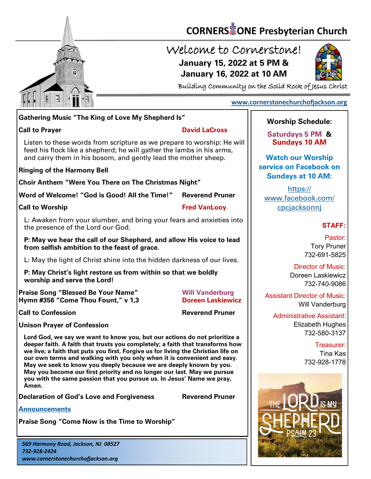

# **CORNERS** TONE Presbyterian Church

## Welcome to Cornerstone! **January 15, 2022 at 5 PM & January 16, 2022 at 10 AM**



Building Community on the Solid Rock of Jesus Christ

### **[www.cornerstonechurchofjackson.org](http://www.cornerstonechurchofjackson.org)**

### **Gathering Music "The King of Love My Shepherd Is"**

#### **Call to Prayer David LaCross**

 feed his flock like a shepherd; he will gather the lambs in his arms, Listen to these words from scripture as we prepare to worship: He will and carry them in his bosom, and gently lead the mother sheep.

#### **Ringing of the Harmony Bell**

**Choir Anthem "Were You There on The Christmas Night"**

**Word of Welcome! "God is Good! All the Time!" Reverend Pruner**

**Call to Worship Call to Worship Call to Worship Call to Worship Call to Worship Call to Worship Call to Worship Call to Worship Call to Worship Call to Worship Call to Worship Call to Worship Call to Worship Call to Worsh** 

L: Awaken from your slumber, and bring your fears and anxieties into the presence of the Lord our God.

**P: May we hear the call of our Shepherd, and allow His voice to lead from selfish ambition to the feast of grace.** 

L: May the light of Christ shine into the hidden darkness of our lives.

**P: May Christ's light restore us from within so that we boldly worship and serve the Lord!** 

**Praise Song "Blessed Be Your Name" Will Vanderburg Hymn #356 "Come Thou Fount," v 1,3 Doreen Laskiewicz**

**Call to Confession Reverend Pruner** 

**Unison Prayer of Confession**

**Lord God, we say we want to know you, but our actions do not prioritize a deeper faith. A faith that trusts you completely; a faith that transforms how we live; a faith that puts you first. Forgive us for living the Christian life on our own terms and walking with you only when it is convenient and easy. May we seek to know you deeply because we are deeply known by you. May you become our first priority and no longer our last. May we pursue you with the same passion that you pursue us. In Jesus' Name we pray, Amen.**

**Declaration of God's Love and Forgiveness <b>Reverend Pruner** 

**[Announcements](http://cornerstonechurchofjackson.org/?page_id=2)**

**Praise Song "Come Now is the Time to Worship"**

*569 Harmony Road, Jackson, NJ 08527 732-928-2424 www.cornerstonechurchofjackson.org*

## **Worship Schedule:**

**Saturdays 5 PM & Sundays 10 AM**

**Watch our Worship service on Facebook on Sundays at 10 AM:**

[https://](https://www.facebook.com/cpcjacksonnj) [www.facebook.com/](https://www.facebook.com/cpcjacksonnj) [cpcjacksonnj](https://www.facebook.com/cpcjacksonnj)

## **STAFF:**

Pastor: Tory Pruner 732-691-5825

Director of Music: Doreen Laskiewicz 732-740-9086

Assistant Director of Music: Will Vanderburg

Administrative Assistant: Elizabeth Hughes 732-580-3137

> Treasurer: Tina Kas 732-928-1778